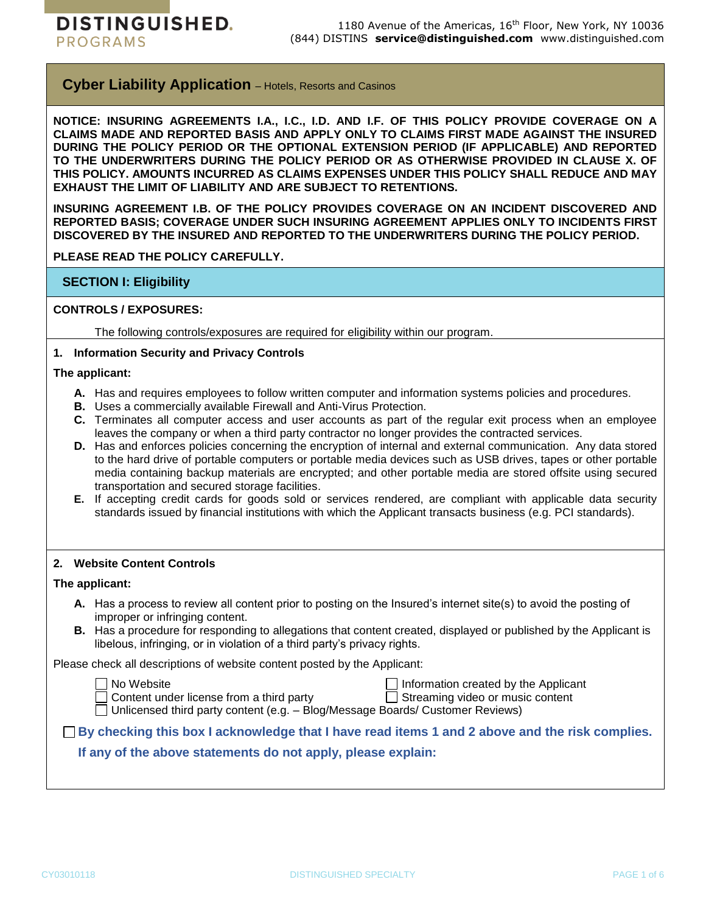**DISTINGUISHED. PROGRAMS** 

**Cyber Liability Application** – Hotels, Resorts and Casinos

**NOTICE: INSURING AGREEMENTS I.A., I.C., I.D. AND I.F. OF THIS POLICY PROVIDE COVERAGE ON A CLAIMS MADE AND REPORTED BASIS AND APPLY ONLY TO CLAIMS FIRST MADE AGAINST THE INSURED DURING THE POLICY PERIOD OR THE OPTIONAL EXTENSION PERIOD (IF APPLICABLE) AND REPORTED**  TO THE UNDERWRITERS DURING THE POLICY PERIOD OR AS OTHERWISE PROVIDED IN CLAUSE X. OF **THIS POLICY. AMOUNTS INCURRED AS CLAIMS EXPENSES UNDER THIS POLICY SHALL REDUCE AND MAY EXHAUST THE LIMIT OF LIABILITY AND ARE SUBJECT TO RETENTIONS.**

**INSURING AGREEMENT I.B. OF THE POLICY PROVIDES COVERAGE ON AN INCIDENT DISCOVERED AND REPORTED BASIS; COVERAGE UNDER SUCH INSURING AGREEMENT APPLIES ONLY TO INCIDENTS FIRST DISCOVERED BY THE INSURED AND REPORTED TO THE UNDERWRITERS DURING THE POLICY PERIOD.**

**PLEASE READ THE POLICY CAREFULLY.**

# **SECTION I: Eligibility**

## **CONTROLS / EXPOSURES:**

The following controls/exposures are required for eligibility within our program.

## **1. Information Security and Privacy Controls**

#### **The applicant:**

- **A.** Has and requires employees to follow written computer and information systems policies and procedures.
- **B.** Uses a commercially available Firewall and Anti-Virus Protection.
- **C.** Terminates all computer access and user accounts as part of the regular exit process when an employee leaves the company or when a third party contractor no longer provides the contracted services.
- **D.** Has and enforces policies concerning the encryption of internal and external communication. Any data stored to the hard drive of portable computers or portable media devices such as USB drives, tapes or other portable media containing backup materials are encrypted; and other portable media are stored offsite using secured transportation and secured storage facilities.
- **E.** If accepting credit cards for goods sold or services rendered, are compliant with applicable data security standards issued by financial institutions with which the Applicant transacts business (e.g. PCI standards).

#### **2. Website Content Controls**

#### **The applicant:**

- **A.** Has a process to review all content prior to posting on the Insured's internet site(s) to avoid the posting of improper or infringing content.
- **B.** Has a procedure for responding to allegations that content created, displayed or published by the Applicant is libelous, infringing, or in violation of a third party's privacy rights.

Please check all descriptions of website content posted by the Applicant:

- 
- □ No Website Information created by the Applicant

 $\Box$  Content under license from a third party  $\Box$  Streaming video or music content

 $\Box$  Unlicensed third party content (e.g. – Blog/Message Boards/ Customer Reviews)

**By checking this box I acknowledge that I have read items 1 and 2 above and the risk complies.**

# **If any of the above statements do not apply, please explain:**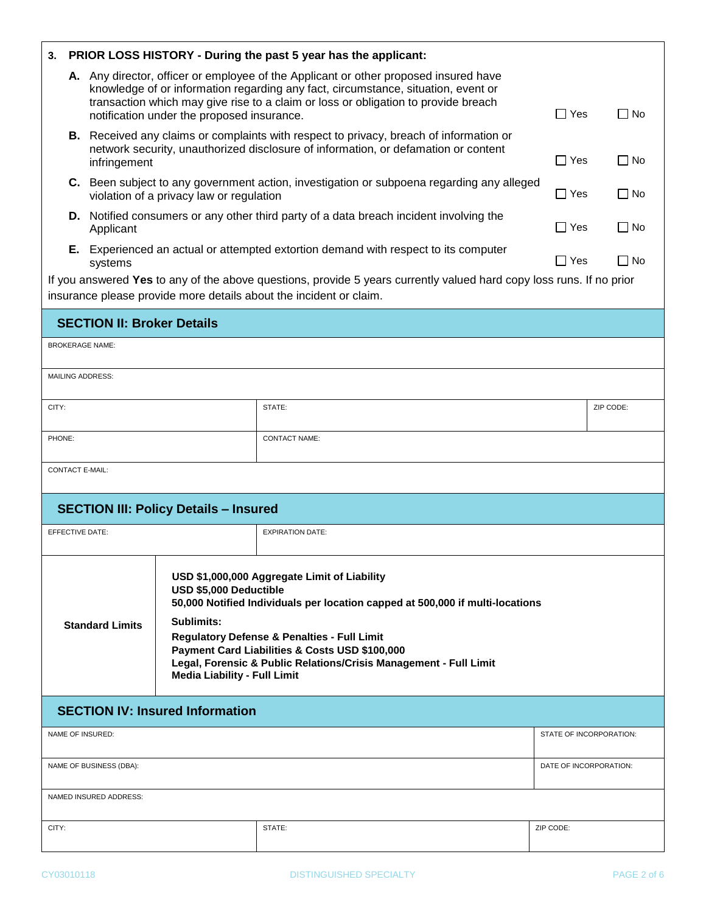| PRIOR LOSS HISTORY - During the past 5 year has the applicant:<br>3. |                                                                                                                                                                                                                                                                                                               |                                                                                                |                                                                             |                                                                                                                                                                                                                                                                                                     |                         |           |  |  |  |
|----------------------------------------------------------------------|---------------------------------------------------------------------------------------------------------------------------------------------------------------------------------------------------------------------------------------------------------------------------------------------------------------|------------------------------------------------------------------------------------------------|-----------------------------------------------------------------------------|-----------------------------------------------------------------------------------------------------------------------------------------------------------------------------------------------------------------------------------------------------------------------------------------------------|-------------------------|-----------|--|--|--|
|                                                                      | A. Any director, officer or employee of the Applicant or other proposed insured have<br>knowledge of or information regarding any fact, circumstance, situation, event or<br>transaction which may give rise to a claim or loss or obligation to provide breach<br>notification under the proposed insurance. |                                                                                                |                                                                             |                                                                                                                                                                                                                                                                                                     |                         | l I No    |  |  |  |
|                                                                      | infringement                                                                                                                                                                                                                                                                                                  |                                                                                                |                                                                             | <b>B.</b> Received any claims or complaints with respect to privacy, breach of information or<br>network security, unauthorized disclosure of information, or defamation or content                                                                                                                 |                         | l I No    |  |  |  |
|                                                                      |                                                                                                                                                                                                                                                                                                               |                                                                                                | violation of a privacy law or regulation                                    | C. Been subject to any government action, investigation or subpoena regarding any alleged                                                                                                                                                                                                           | $\Box$ Yes              | $\Box$ No |  |  |  |
|                                                                      |                                                                                                                                                                                                                                                                                                               | Applicant                                                                                      |                                                                             | D. Notified consumers or any other third party of a data breach incident involving the                                                                                                                                                                                                              |                         |           |  |  |  |
|                                                                      |                                                                                                                                                                                                                                                                                                               | E. Experienced an actual or attempted extortion demand with respect to its computer<br>systems |                                                                             |                                                                                                                                                                                                                                                                                                     |                         | l I No    |  |  |  |
|                                                                      | If you answered Yes to any of the above questions, provide 5 years currently valued hard copy loss runs. If no prior<br>insurance please provide more details about the incident or claim.                                                                                                                    |                                                                                                |                                                                             |                                                                                                                                                                                                                                                                                                     |                         |           |  |  |  |
| <b>SECTION II: Broker Details</b>                                    |                                                                                                                                                                                                                                                                                                               |                                                                                                |                                                                             |                                                                                                                                                                                                                                                                                                     |                         |           |  |  |  |
| <b>BROKERAGE NAME:</b>                                               |                                                                                                                                                                                                                                                                                                               |                                                                                                |                                                                             |                                                                                                                                                                                                                                                                                                     |                         |           |  |  |  |
|                                                                      |                                                                                                                                                                                                                                                                                                               | <b>MAILING ADDRESS:</b>                                                                        |                                                                             |                                                                                                                                                                                                                                                                                                     |                         |           |  |  |  |
| CITY:                                                                |                                                                                                                                                                                                                                                                                                               |                                                                                                |                                                                             | STATE:                                                                                                                                                                                                                                                                                              | ZIP CODE:               |           |  |  |  |
| PHONE:                                                               |                                                                                                                                                                                                                                                                                                               |                                                                                                |                                                                             | <b>CONTACT NAME:</b>                                                                                                                                                                                                                                                                                |                         |           |  |  |  |
| <b>CONTACT E-MAIL:</b>                                               |                                                                                                                                                                                                                                                                                                               |                                                                                                |                                                                             |                                                                                                                                                                                                                                                                                                     |                         |           |  |  |  |
| <b>SECTION III: Policy Details - Insured</b>                         |                                                                                                                                                                                                                                                                                                               |                                                                                                |                                                                             |                                                                                                                                                                                                                                                                                                     |                         |           |  |  |  |
| <b>EFFECTIVE DATE:</b>                                               |                                                                                                                                                                                                                                                                                                               |                                                                                                |                                                                             | <b>EXPIRATION DATE:</b>                                                                                                                                                                                                                                                                             |                         |           |  |  |  |
|                                                                      |                                                                                                                                                                                                                                                                                                               | <b>Standard Limits</b>                                                                         | USD \$5,000 Deductible<br>Sublimits:<br><b>Media Liability - Full Limit</b> | USD \$1,000,000 Aggregate Limit of Liability<br>50,000 Notified Individuals per location capped at 500,000 if multi-locations<br>Regulatory Defense & Penalties - Full Limit<br>Payment Card Liabilities & Costs USD \$100,000<br>Legal, Forensic & Public Relations/Crisis Management - Full Limit |                         |           |  |  |  |
| <b>SECTION IV: Insured Information</b>                               |                                                                                                                                                                                                                                                                                                               |                                                                                                |                                                                             |                                                                                                                                                                                                                                                                                                     |                         |           |  |  |  |
| NAME OF INSURED:                                                     |                                                                                                                                                                                                                                                                                                               |                                                                                                |                                                                             |                                                                                                                                                                                                                                                                                                     | STATE OF INCORPORATION: |           |  |  |  |
| NAME OF BUSINESS (DBA):                                              |                                                                                                                                                                                                                                                                                                               |                                                                                                |                                                                             |                                                                                                                                                                                                                                                                                                     | DATE OF INCORPORATION:  |           |  |  |  |
| NAMED INSURED ADDRESS:                                               |                                                                                                                                                                                                                                                                                                               |                                                                                                |                                                                             |                                                                                                                                                                                                                                                                                                     |                         |           |  |  |  |
| CITY:                                                                |                                                                                                                                                                                                                                                                                                               |                                                                                                |                                                                             | STATE:                                                                                                                                                                                                                                                                                              | ZIP CODE:               |           |  |  |  |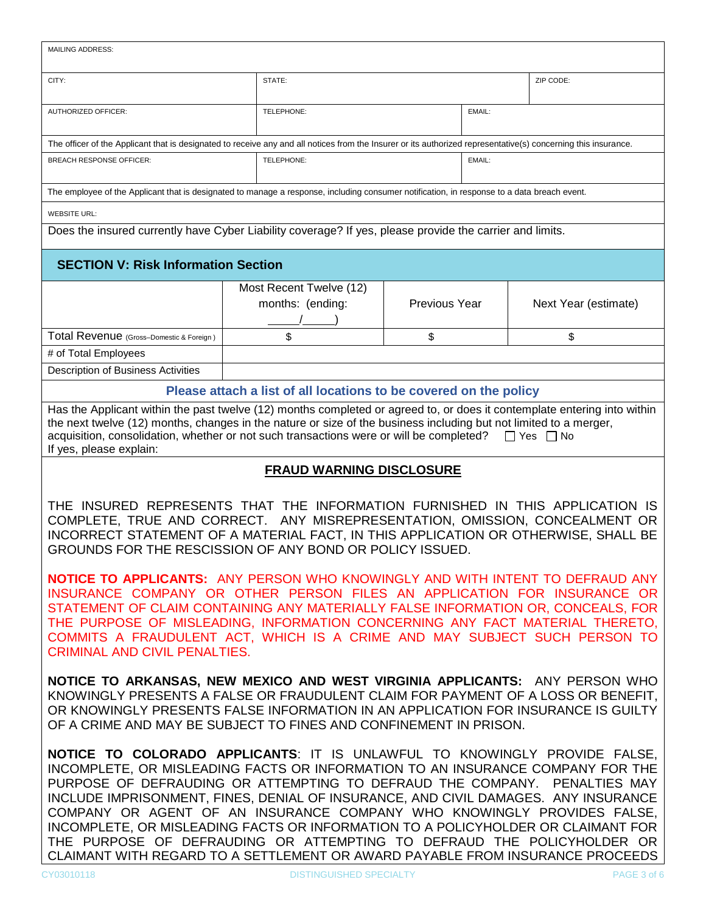| <b>MAILING ADDRESS:</b>                                                                                                                                                                                                                                                                                                                                                                                                                                                                                                                                                                                                                                 |                                             |               |                      |  |  |  |  |  |
|---------------------------------------------------------------------------------------------------------------------------------------------------------------------------------------------------------------------------------------------------------------------------------------------------------------------------------------------------------------------------------------------------------------------------------------------------------------------------------------------------------------------------------------------------------------------------------------------------------------------------------------------------------|---------------------------------------------|---------------|----------------------|--|--|--|--|--|
| CITY:                                                                                                                                                                                                                                                                                                                                                                                                                                                                                                                                                                                                                                                   | STATE:                                      |               | ZIP CODE:            |  |  |  |  |  |
| <b>AUTHORIZED OFFICER:</b>                                                                                                                                                                                                                                                                                                                                                                                                                                                                                                                                                                                                                              | TELEPHONE:                                  | EMAIL:        |                      |  |  |  |  |  |
| The officer of the Applicant that is designated to receive any and all notices from the Insurer or its authorized representative(s) concerning this insurance.                                                                                                                                                                                                                                                                                                                                                                                                                                                                                          |                                             |               |                      |  |  |  |  |  |
| <b>BREACH RESPONSE OFFICER:</b>                                                                                                                                                                                                                                                                                                                                                                                                                                                                                                                                                                                                                         | TELEPHONE:                                  | EMAIL:        |                      |  |  |  |  |  |
| The employee of the Applicant that is designated to manage a response, including consumer notification, in response to a data breach event.                                                                                                                                                                                                                                                                                                                                                                                                                                                                                                             |                                             |               |                      |  |  |  |  |  |
| <b>WEBSITE URL:</b>                                                                                                                                                                                                                                                                                                                                                                                                                                                                                                                                                                                                                                     |                                             |               |                      |  |  |  |  |  |
| Does the insured currently have Cyber Liability coverage? If yes, please provide the carrier and limits.                                                                                                                                                                                                                                                                                                                                                                                                                                                                                                                                                |                                             |               |                      |  |  |  |  |  |
| <b>SECTION V: Risk Information Section</b>                                                                                                                                                                                                                                                                                                                                                                                                                                                                                                                                                                                                              |                                             |               |                      |  |  |  |  |  |
|                                                                                                                                                                                                                                                                                                                                                                                                                                                                                                                                                                                                                                                         | Most Recent Twelve (12)<br>months: (ending: | Previous Year | Next Year (estimate) |  |  |  |  |  |
| Total Revenue (Gross-Domestic & Foreign)                                                                                                                                                                                                                                                                                                                                                                                                                                                                                                                                                                                                                | \$                                          | \$            | \$                   |  |  |  |  |  |
| # of Total Employees                                                                                                                                                                                                                                                                                                                                                                                                                                                                                                                                                                                                                                    |                                             |               |                      |  |  |  |  |  |
| Description of Business Activities                                                                                                                                                                                                                                                                                                                                                                                                                                                                                                                                                                                                                      |                                             |               |                      |  |  |  |  |  |
| Please attach a list of all locations to be covered on the policy                                                                                                                                                                                                                                                                                                                                                                                                                                                                                                                                                                                       |                                             |               |                      |  |  |  |  |  |
| Has the Applicant within the past twelve (12) months completed or agreed to, or does it contemplate entering into within<br>the next twelve (12) months, changes in the nature or size of the business including but not limited to a merger,<br>acquisition, consolidation, whether or not such transactions were or will be completed?<br>$\Box$ Yes $\Box$ No<br>If yes, please explain:                                                                                                                                                                                                                                                             |                                             |               |                      |  |  |  |  |  |
| <b>FRAUD WARNING DISCLOSURE</b>                                                                                                                                                                                                                                                                                                                                                                                                                                                                                                                                                                                                                         |                                             |               |                      |  |  |  |  |  |
| THE INSURED REPRESENTS THAT THE INFORMATION FURNISHED IN THIS APPLICATION IS<br>COMPLETE, TRUE AND CORRECT. ANY MISREPRESENTATION, OMISSION, CONCEALMENT OR<br>INCORRECT STATEMENT OF A MATERIAL FACT, IN THIS APPLICATION OR OTHERWISE, SHALL BE<br>GROUNDS FOR THE RESCISSION OF ANY BOND OR POLICY ISSUED.                                                                                                                                                                                                                                                                                                                                           |                                             |               |                      |  |  |  |  |  |
| <b>NOTICE TO APPLICANTS:</b> ANY PERSON WHO KNOWINGLY AND WITH INTENT TO DEFRAUD ANY<br>INSURANCE COMPANY OR OTHER PERSON FILES AN APPLICATION FOR INSURANCE OR<br>STATEMENT OF CLAIM CONTAINING ANY MATERIALLY FALSE INFORMATION OR, CONCEALS, FOR<br>THE PURPOSE OF MISLEADING, INFORMATION CONCERNING ANY FACT MATERIAL THERETO,<br>COMMITS A FRAUDULENT ACT, WHICH IS A CRIME AND MAY SUBJECT SUCH PERSON TO<br><b>CRIMINAL AND CIVIL PENALTIES.</b>                                                                                                                                                                                                |                                             |               |                      |  |  |  |  |  |
| NOTICE TO ARKANSAS, NEW MEXICO AND WEST VIRGINIA APPLICANTS: ANY PERSON WHO<br>KNOWINGLY PRESENTS A FALSE OR FRAUDULENT CLAIM FOR PAYMENT OF A LOSS OR BENEFIT.<br>OR KNOWINGLY PRESENTS FALSE INFORMATION IN AN APPLICATION FOR INSURANCE IS GUILTY<br>OF A CRIME AND MAY BE SUBJECT TO FINES AND CONFINEMENT IN PRISON.                                                                                                                                                                                                                                                                                                                               |                                             |               |                      |  |  |  |  |  |
| NOTICE TO COLORADO APPLICANTS: IT IS UNLAWFUL TO KNOWINGLY PROVIDE FALSE,<br>INCOMPLETE, OR MISLEADING FACTS OR INFORMATION TO AN INSURANCE COMPANY FOR THE<br>PURPOSE OF DEFRAUDING OR ATTEMPTING TO DEFRAUD THE COMPANY. PENALTIES MAY<br>INCLUDE IMPRISONMENT, FINES, DENIAL OF INSURANCE, AND CIVIL DAMAGES. ANY INSURANCE<br>COMPANY OR AGENT OF AN INSURANCE COMPANY WHO KNOWINGLY PROVIDES FALSE,<br>INCOMPLETE, OR MISLEADING FACTS OR INFORMATION TO A POLICYHOLDER OR CLAIMANT FOR<br>THE PURPOSE OF DEFRAUDING OR ATTEMPTING TO DEFRAUD THE POLICYHOLDER OR<br>CLAIMANT WITH REGARD TO A SETTLEMENT OR AWARD PAYABLE FROM INSURANCE PROCEEDS |                                             |               |                      |  |  |  |  |  |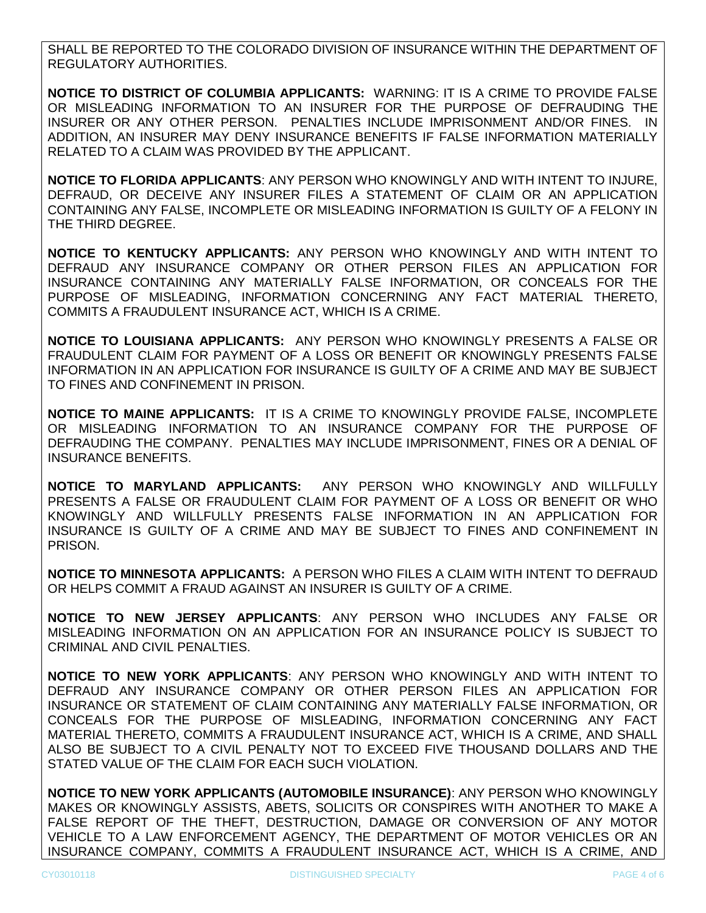SHALL BE REPORTED TO THE COLORADO DIVISION OF INSURANCE WITHIN THE DEPARTMENT OF REGULATORY AUTHORITIES.

**NOTICE TO DISTRICT OF COLUMBIA APPLICANTS:** WARNING: IT IS A CRIME TO PROVIDE FALSE OR MISLEADING INFORMATION TO AN INSURER FOR THE PURPOSE OF DEFRAUDING THE INSURER OR ANY OTHER PERSON. PENALTIES INCLUDE IMPRISONMENT AND/OR FINES. IN ADDITION, AN INSURER MAY DENY INSURANCE BENEFITS IF FALSE INFORMATION MATERIALLY RELATED TO A CLAIM WAS PROVIDED BY THE APPLICANT.

**NOTICE TO FLORIDA APPLICANTS**: ANY PERSON WHO KNOWINGLY AND WITH INTENT TO INJURE, DEFRAUD, OR DECEIVE ANY INSURER FILES A STATEMENT OF CLAIM OR AN APPLICATION CONTAINING ANY FALSE, INCOMPLETE OR MISLEADING INFORMATION IS GUILTY OF A FELONY IN THE THIRD DEGREE.

**NOTICE TO KENTUCKY APPLICANTS:** ANY PERSON WHO KNOWINGLY AND WITH INTENT TO DEFRAUD ANY INSURANCE COMPANY OR OTHER PERSON FILES AN APPLICATION FOR INSURANCE CONTAINING ANY MATERIALLY FALSE INFORMATION, OR CONCEALS FOR THE PURPOSE OF MISLEADING, INFORMATION CONCERNING ANY FACT MATERIAL THERETO, COMMITS A FRAUDULENT INSURANCE ACT, WHICH IS A CRIME.

**NOTICE TO LOUISIANA APPLICANTS:** ANY PERSON WHO KNOWINGLY PRESENTS A FALSE OR FRAUDULENT CLAIM FOR PAYMENT OF A LOSS OR BENEFIT OR KNOWINGLY PRESENTS FALSE INFORMATION IN AN APPLICATION FOR INSURANCE IS GUILTY OF A CRIME AND MAY BE SUBJECT TO FINES AND CONFINEMENT IN PRISON.

**NOTICE TO MAINE APPLICANTS:** IT IS A CRIME TO KNOWINGLY PROVIDE FALSE, INCOMPLETE OR MISLEADING INFORMATION TO AN INSURANCE COMPANY FOR THE PURPOSE OF DEFRAUDING THE COMPANY. PENALTIES MAY INCLUDE IMPRISONMENT, FINES OR A DENIAL OF INSURANCE BENEFITS.

**NOTICE TO MARYLAND APPLICANTS:** ANY PERSON WHO KNOWINGLY AND WILLFULLY PRESENTS A FALSE OR FRAUDULENT CLAIM FOR PAYMENT OF A LOSS OR BENEFIT OR WHO KNOWINGLY AND WILLFULLY PRESENTS FALSE INFORMATION IN AN APPLICATION FOR INSURANCE IS GUILTY OF A CRIME AND MAY BE SUBJECT TO FINES AND CONFINEMENT IN PRISON.

**NOTICE TO MINNESOTA APPLICANTS:** A PERSON WHO FILES A CLAIM WITH INTENT TO DEFRAUD OR HELPS COMMIT A FRAUD AGAINST AN INSURER IS GUILTY OF A CRIME.

**NOTICE TO NEW JERSEY APPLICANTS**: ANY PERSON WHO INCLUDES ANY FALSE OR MISLEADING INFORMATION ON AN APPLICATION FOR AN INSURANCE POLICY IS SUBJECT TO CRIMINAL AND CIVIL PENALTIES.

**NOTICE TO NEW YORK APPLICANTS**: ANY PERSON WHO KNOWINGLY AND WITH INTENT TO DEFRAUD ANY INSURANCE COMPANY OR OTHER PERSON FILES AN APPLICATION FOR INSURANCE OR STATEMENT OF CLAIM CONTAINING ANY MATERIALLY FALSE INFORMATION, OR CONCEALS FOR THE PURPOSE OF MISLEADING, INFORMATION CONCERNING ANY FACT MATERIAL THERETO, COMMITS A FRAUDULENT INSURANCE ACT, WHICH IS A CRIME, AND SHALL ALSO BE SUBJECT TO A CIVIL PENALTY NOT TO EXCEED FIVE THOUSAND DOLLARS AND THE STATED VALUE OF THE CLAIM FOR EACH SUCH VIOLATION.

**NOTICE TO NEW YORK APPLICANTS (AUTOMOBILE INSURANCE)**: ANY PERSON WHO KNOWINGLY MAKES OR KNOWINGLY ASSISTS, ABETS, SOLICITS OR CONSPIRES WITH ANOTHER TO MAKE A FALSE REPORT OF THE THEFT, DESTRUCTION, DAMAGE OR CONVERSION OF ANY MOTOR VEHICLE TO A LAW ENFORCEMENT AGENCY, THE DEPARTMENT OF MOTOR VEHICLES OR AN INSURANCE COMPANY, COMMITS A FRAUDULENT INSURANCE ACT, WHICH IS A CRIME, AND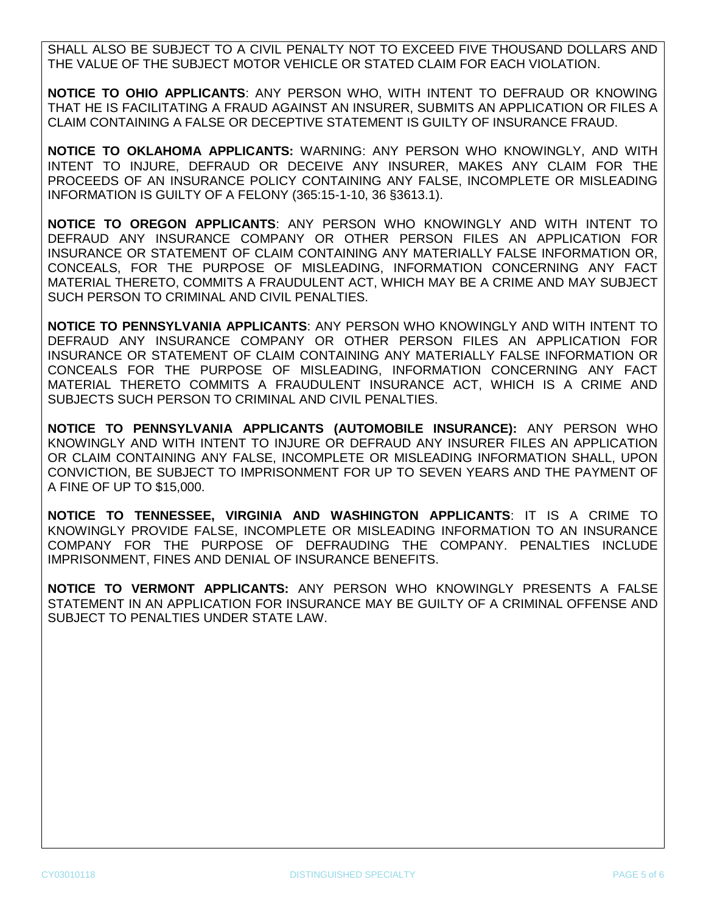SHALL ALSO BE SUBJECT TO A CIVIL PENALTY NOT TO EXCEED FIVE THOUSAND DOLLARS AND THE VALUE OF THE SUBJECT MOTOR VEHICLE OR STATED CLAIM FOR EACH VIOLATION.

**NOTICE TO OHIO APPLICANTS**: ANY PERSON WHO, WITH INTENT TO DEFRAUD OR KNOWING THAT HE IS FACILITATING A FRAUD AGAINST AN INSURER, SUBMITS AN APPLICATION OR FILES A CLAIM CONTAINING A FALSE OR DECEPTIVE STATEMENT IS GUILTY OF INSURANCE FRAUD.

**NOTICE TO OKLAHOMA APPLICANTS:** WARNING: ANY PERSON WHO KNOWINGLY, AND WITH INTENT TO INJURE, DEFRAUD OR DECEIVE ANY INSURER, MAKES ANY CLAIM FOR THE PROCEEDS OF AN INSURANCE POLICY CONTAINING ANY FALSE, INCOMPLETE OR MISLEADING INFORMATION IS GUILTY OF A FELONY (365:15-1-10, 36 §3613.1).

**NOTICE TO OREGON APPLICANTS**: ANY PERSON WHO KNOWINGLY AND WITH INTENT TO DEFRAUD ANY INSURANCE COMPANY OR OTHER PERSON FILES AN APPLICATION FOR INSURANCE OR STATEMENT OF CLAIM CONTAINING ANY MATERIALLY FALSE INFORMATION OR, CONCEALS, FOR THE PURPOSE OF MISLEADING, INFORMATION CONCERNING ANY FACT MATERIAL THERETO, COMMITS A FRAUDULENT ACT, WHICH MAY BE A CRIME AND MAY SUBJECT SUCH PERSON TO CRIMINAL AND CIVIL PENALTIES.

**NOTICE TO PENNSYLVANIA APPLICANTS**: ANY PERSON WHO KNOWINGLY AND WITH INTENT TO DEFRAUD ANY INSURANCE COMPANY OR OTHER PERSON FILES AN APPLICATION FOR INSURANCE OR STATEMENT OF CLAIM CONTAINING ANY MATERIALLY FALSE INFORMATION OR CONCEALS FOR THE PURPOSE OF MISLEADING, INFORMATION CONCERNING ANY FACT MATERIAL THERETO COMMITS A FRAUDULENT INSURANCE ACT, WHICH IS A CRIME AND SUBJECTS SUCH PERSON TO CRIMINAL AND CIVIL PENALTIES.

**NOTICE TO PENNSYLVANIA APPLICANTS (AUTOMOBILE INSURANCE):** ANY PERSON WHO KNOWINGLY AND WITH INTENT TO INJURE OR DEFRAUD ANY INSURER FILES AN APPLICATION OR CLAIM CONTAINING ANY FALSE, INCOMPLETE OR MISLEADING INFORMATION SHALL, UPON CONVICTION, BE SUBJECT TO IMPRISONMENT FOR UP TO SEVEN YEARS AND THE PAYMENT OF A FINE OF UP TO \$15,000.

**NOTICE TO TENNESSEE, VIRGINIA AND WASHINGTON APPLICANTS**: IT IS A CRIME TO KNOWINGLY PROVIDE FALSE, INCOMPLETE OR MISLEADING INFORMATION TO AN INSURANCE COMPANY FOR THE PURPOSE OF DEFRAUDING THE COMPANY. PENALTIES INCLUDE IMPRISONMENT, FINES AND DENIAL OF INSURANCE BENEFITS.

**NOTICE TO VERMONT APPLICANTS:** ANY PERSON WHO KNOWINGLY PRESENTS A FALSE STATEMENT IN AN APPLICATION FOR INSURANCE MAY BE GUILTY OF A CRIMINAL OFFENSE AND SUBJECT TO PENALTIES UNDER STATE LAW.